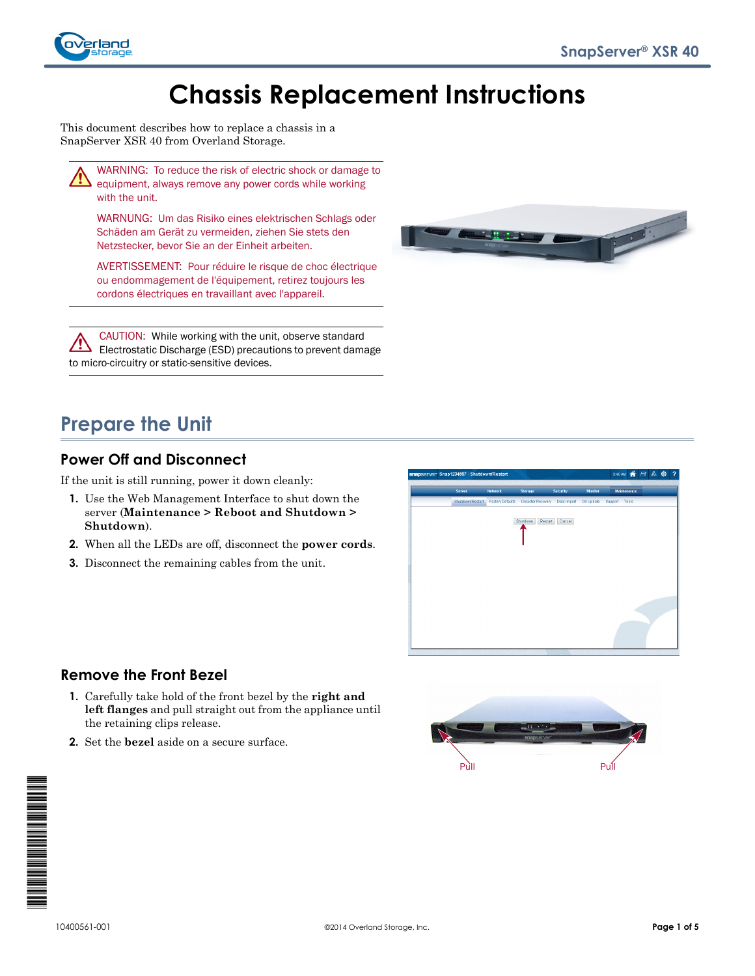

# **Chassis Replacement Instructions**

This document describes how to replace a chassis in a SnapServer XSR 40 from Overland Storage.



WARNING: To reduce the risk of electric shock or damage to equipment, always remove any power cords while working with the unit.

WARNUNG: Um das Risiko eines elektrischen Schlags oder Schäden am Gerät zu vermeiden, ziehen Sie stets den Netzstecker, bevor Sie an der Einheit arbeiten.

AVERTISSEMENT: Pour réduire le risque de choc électrique ou endommagement de l'équipement, retirez toujours les cordons électriques en travaillant avec l'appareil.

CAUTION: While working with the unit, observe standard Electrostatic Discharge (ESD) precautions to prevent damage to micro-circuitry or static-sensitive devices.



# **Prepare the Unit**

### **Power Off and Disconnect**

If the unit is still running, power it down cleanly:

- **1.** Use the Web Management Interface to shut down the server (**Maintenance > Reboot and Shutdown > Shutdown**).
- **2.** When all the LEDs are off, disconnect the **power cords**.
- **3.** Disconnect the remaining cables from the unit.



#### **Remove the Front Bezel**

- **1.** Carefully take hold of the front bezel by the **right and left flanges** and pull straight out from the appliance until the retaining clips release.
- **2.** Set the **bezel** aside on a secure surface.



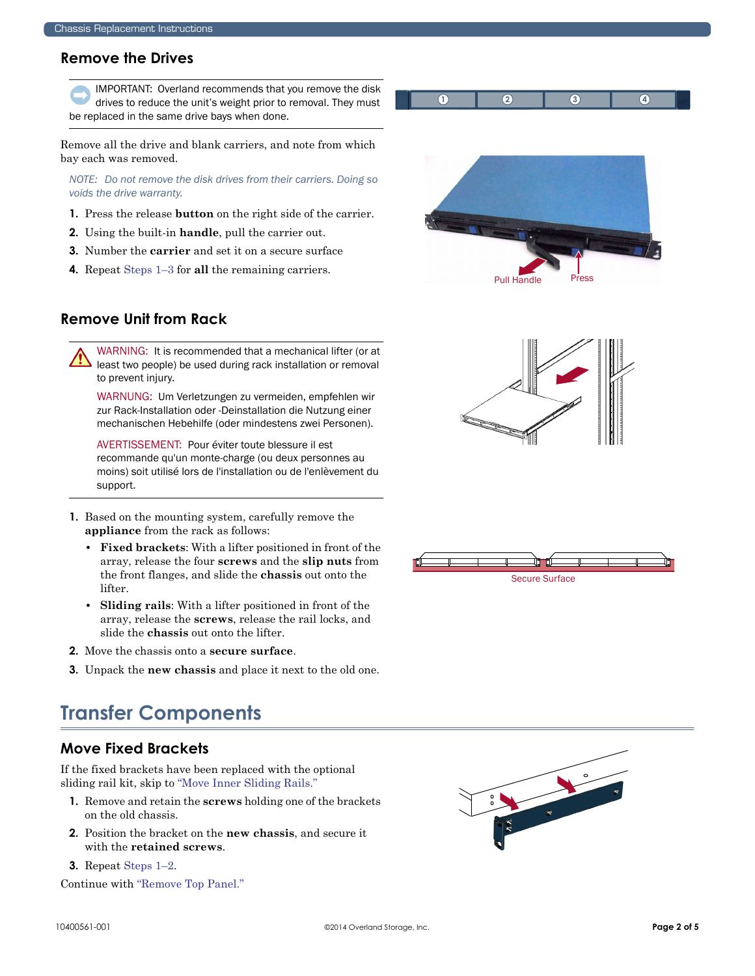#### **Remove the Drives**

IMPORTANT: Overland recommends that you remove the disk drives to reduce the unit's weight prior to removal. They must be replaced in the same drive bays when done.

Remove all the drive and blank carriers, and note from which bay each was removed.

*NOTE: Do not remove the disk drives from their carriers. Doing so voids the drive warranty.*

- <span id="page-1-0"></span>**1.** Press the release **button** on the right side of the carrier.
- **2.** Using the built-in **handle**, pull the carrier out.
- <span id="page-1-1"></span>**3.** Number the **carrier** and set it on a secure surface
- **4.** Repeat [Steps 1–](#page-1-0)[3](#page-1-1) for **all** the remaining carriers.



Pull Handle

**1 2 3 4**

### **Remove Unit from Rack**

WARNING: It is recommended that a mechanical lifter (or at least two people) be used during rack installation or removal to prevent injury.

WARNUNG: Um Verletzungen zu vermeiden, empfehlen wir zur Rack-Installation oder -Deinstallation die Nutzung einer mechanischen Hebehilfe (oder mindestens zwei Personen).

AVERTISSEMENT: Pour éviter toute blessure il est recommande qu'un monte-charge (ou deux personnes au moins) soit utilisé lors de l'installation ou de l'enlèvement du support.

- **1.** Based on the mounting system, carefully remove the **appliance** from the rack as follows:
	- **Fixed brackets**: With a lifter positioned in front of the array, release the four **screws** and the **slip nuts** from the front flanges, and slide the **chassis** out onto the lifter.
	- **Sliding rails**: With a lifter positioned in front of the array, release the **screws**, release the rail locks, and slide the **chassis** out onto the lifter.
- **2.** Move the chassis onto a **secure surface**.
- **3.** Unpack the **new chassis** and place it next to the old one.

# **Transfer Components**

#### **Move Fixed Brackets**

If the fixed brackets have been replaced with the optional sliding rail kit, skip to ["Move Inner Sliding Rails."](#page-2-0)

- <span id="page-1-2"></span>**1.** Remove and retain the **screws** holding one of the brackets on the old chassis.
- <span id="page-1-3"></span>**2.** Position the bracket on the **new chassis**, and secure it with the **retained screws**.
- **3.** Repeat [Steps 1–](#page-1-2)[2.](#page-1-3)

Continue with ["Remove Top Panel."](#page-2-1)





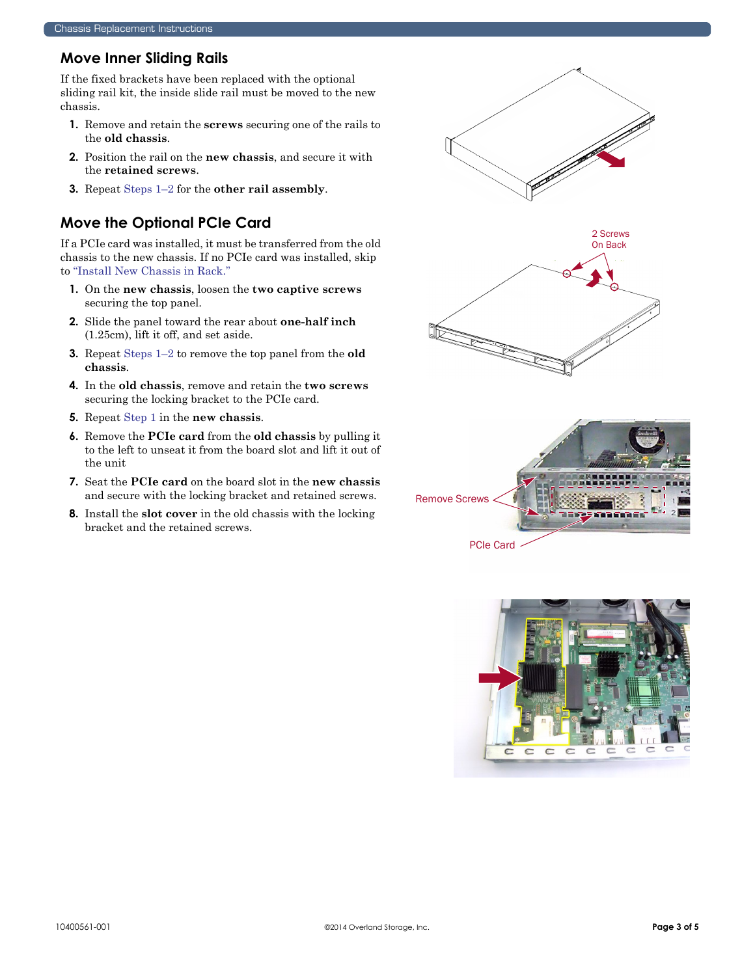### <span id="page-2-0"></span>**Move Inner Sliding Rails**

If the fixed brackets have been replaced with the optional sliding rail kit, the inside slide rail must be moved to the new chassis.

- <span id="page-2-2"></span>**1.** Remove and retain the **screws** securing one of the rails to the **old chassis**.
- <span id="page-2-3"></span>**2.** Position the rail on the **new chassis**, and secure it with the **retained screws**.
- **3.** Repeat [Steps 1–](#page-2-2)[2](#page-2-3) for the **other rail assembly**.

# <span id="page-2-1"></span>**Move the Optional PCIe Card**

If a PCIe card was installed, it must be transferred from the old chassis to the new chassis. If no PCIe card was installed, skip to ["Install New Chassis in Rack."](#page-3-0)

- <span id="page-2-4"></span>**1.** On the **new chassis**, loosen the **two captive screws** securing the top panel.
- <span id="page-2-5"></span>**2.** Slide the panel toward the rear about **one-half inch**  (1.25cm), lift it off, and set aside.
- **3.** Repeat [Steps 1–](#page-2-4)[2](#page-2-5) to remove the top panel from the **old chassis**.
- <span id="page-2-6"></span>**4.** In the **old chassis**, remove and retain the **two screws** securing the locking bracket to the PCIe card.
- **5.** Repeat [Step 1](#page-2-6) in the **new chassis**.
- **6.** Remove the **PCIe card** from the **old chassis** by pulling it to the left to unseat it from the board slot and lift it out of the unit
- **7.** Seat the **PCIe card** on the board slot in the **new chassis** and secure with the locking bracket and retained screws.
- **8.** Install the **slot cover** in the old chassis with the locking bracket and the retained screws.



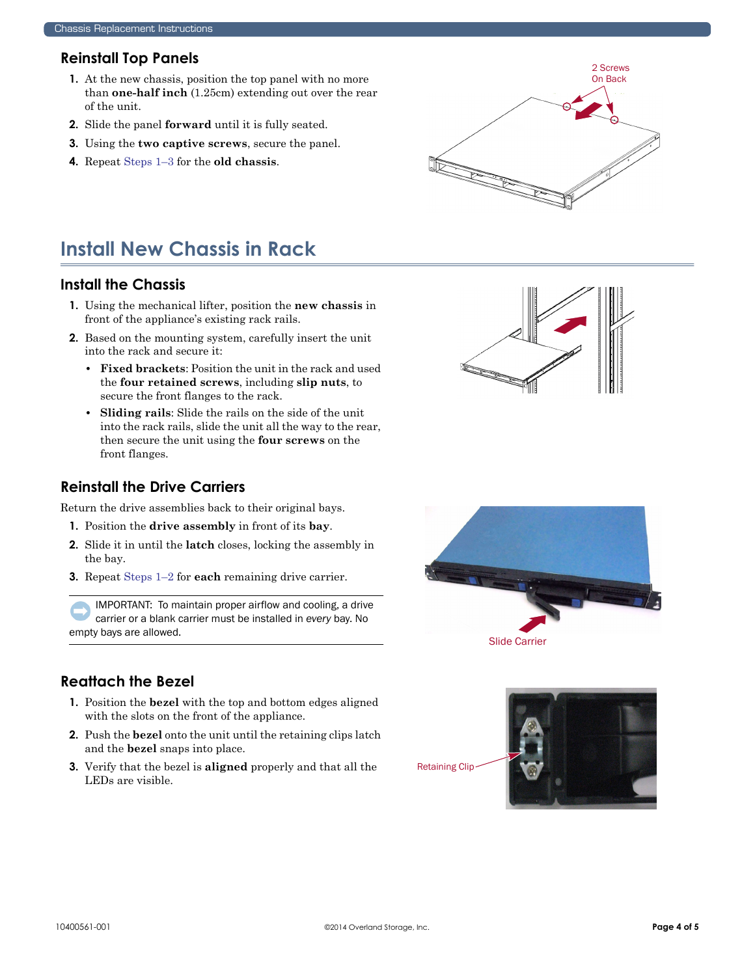### **Reinstall Top Panels**

- <span id="page-3-1"></span>**1.** At the new chassis, position the top panel with no more than **one-half inch** (1.25cm) extending out over the rear of the unit.
- **2.** Slide the panel **forward** until it is fully seated.
- <span id="page-3-2"></span>**3.** Using the **two captive screws**, secure the panel.
- **4.** Repeat [Steps 1–](#page-3-1)[3](#page-3-2) for the **old chassis**.



# <span id="page-3-0"></span>**Install New Chassis in Rack**

#### **Install the Chassis**

- **1.** Using the mechanical lifter, position the **new chassis** in front of the appliance's existing rack rails.
- **2.** Based on the mounting system, carefully insert the unit into the rack and secure it:
	- **Fixed brackets**: Position the unit in the rack and used the **four retained screws**, including **slip nuts**, to secure the front flanges to the rack.
	- **Sliding rails**: Slide the rails on the side of the unit into the rack rails, slide the unit all the way to the rear, then secure the unit using the **four screws** on the front flanges.

#### **Reinstall the Drive Carriers**

<span id="page-3-3"></span>Return the drive assemblies back to their original bays.

- **1.** Position the **drive assembly** in front of its **bay**.
- <span id="page-3-4"></span>**2.** Slide it in until the **latch** closes, locking the assembly in the bay.
- **3.** Repeat [Steps 1–](#page-3-3)[2](#page-3-4) for **each** remaining drive carrier.

IMPORTANT: To maintain proper airflow and cooling, a drive carrier or a blank carrier must be installed in *every* bay. No empty bays are allowed.

# **Reattach the Bezel**

- **1.** Position the **bezel** with the top and bottom edges aligned with the slots on the front of the appliance.
- **2.** Push the **bezel** onto the unit until the retaining clips latch and the **bezel** snaps into place.
- **3.** Verify that the bezel is **aligned** properly and that all the LEDs are visible.





Slide Carrier